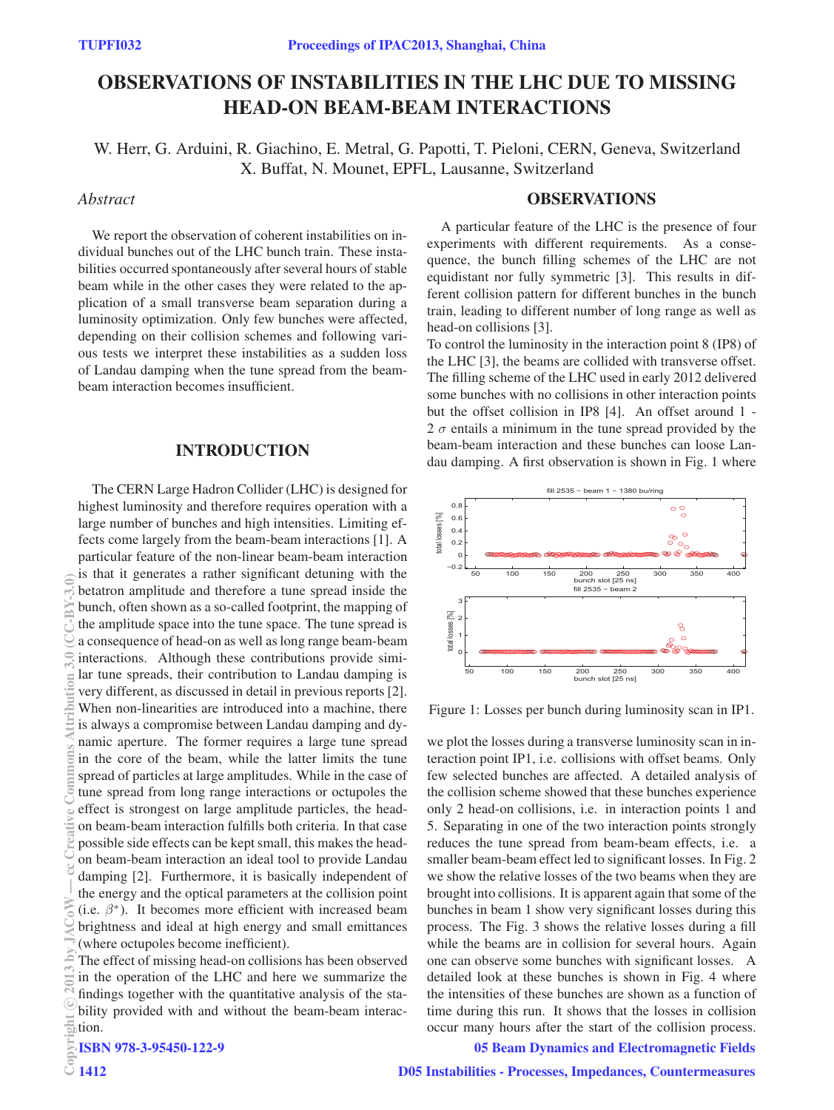# OBSERVATIONS OF INSTABILITIES IN THE LHC DUE TO MISSING HEAD-ON BEAM-BEAM INTERACTIONS

W. Herr, G. Arduini, R. Giachino, E. Metral, G. Papotti, T. Pieloni, CERN, Geneva, Switzerland X. Buffat, N. Mounet, EPFL, Lausanne, Switzerland

# *Abstract*

We report the observation of coherent instabilities on individual bunches out of the LHC bunch train. These instabilities occurred spontaneously after several hours of stable beam while in the other cases they were related to the application of a small transverse beam separation during a luminosity optimization. Only few bunches were affected, depending on their collision schemes and following various tests we interpret these instabilities as a sudden loss of Landau damping when the tune spread from the beambeam interaction becomes insufficient.

# INTRODUCTION

The CERN Large Hadron Collider (LHC) is designed for highest luminosity and therefore requires operation with a large number of bunches and high intensities. Limiting effects come largely from the beam-beam interactions [1]. A particular feature of the non-linear beam-beam interaction is that it generates a rather significant detuning with the betatron amplitude and therefore a tune spread inside the bunch, often shown as a so-called footprint, the mapping of the amplitude space into the tune space. The tune spread is a consequence of head-on as well as long range beam-beam interactions. Although these contributions provide similar tune spreads, their contribution to Landau damping is very different, as discussed in detail in previous reports [2]. When non-linearities are introduced into a machine, there is always a compromise between Landau damping and dynamic aperture. The former requires a large tune spread in the core of the beam, while the latter limits the tune spread of particles at large amplitudes. While in the case of tune spread from long range interactions or octupoles the effect is strongest on large amplitude particles, the headon beam-beam interaction fulfills both criteria. In that case possible side effects can be kept small, this makes the headon beam-beam interaction an ideal tool to provide Landau damping [2]. Furthermore, it is basically independent of the energy and the optical parameters at the collision point (i.e.  $\beta^*$ ). It becomes more efficient with increased beam brightness and ideal at high energy and small emittances (where octupoles become inefficient).  $\frac{20}{20}$  by  $\frac{20}{20}$  and  $\frac{20}{20}$  and  $\frac{20}{20}$  and  $\frac{20}{20}$  and  $\frac{20}{20}$  and  $\frac{20}{20}$  and  $\frac{20}{20}$  and  $\frac{20}{20}$  and  $\frac{20}{20}$  and  $\frac{20}{20}$  and  $\frac{20}{20}$  and  $\frac{20}{20}$  and  $\frac{20}{20}$  an

The effect of missing head-on collisions has been observed in the operation of the LHC and here we summarize the findings together with the quantitative analysis of the stability provided with and without the beam-beam interaction.

#### ISBN 978-3-95450-122-9

#### **OBSERVATIONS**

A particular feature of the LHC is the presence of four experiments with different requirements. As a consequence, the bunch filling schemes of the LHC are not equidistant nor fully symmetric [3]. This results in different collision pattern for different bunches in the bunch train, leading to different number of long range as well as head-on collisions [3].

To control the luminosity in the interaction point 8 (IP8) of the LHC [3], the beams are collided with transverse offset. The filling scheme of the LHC used in early 2012 delivered some bunches with no collisions in other interaction points but the offset collision in IP8 [4]. An offset around 1 - 2  $\sigma$  entails a minimum in the tune spread provided by the beam-beam interaction and these bunches can loose Landau damping. A first observation is shown in Fig. 1 where



Figure 1: Losses per bunch during luminosity scan in IP1.

we plot the losses during a transverse luminosity scan in interaction point IP1, i.e. collisions with offset beams. Only few selected bunches are affected. A detailed analysis of the collision scheme showed that these bunches experience only 2 head-on collisions, i.e. in interaction points 1 and 5. Separating in one of the two interaction points strongly reduces the tune spread from beam-beam effects, i.e. a smaller beam-beam effect led to significant losses. In Fig. 2 we show the relative losses of the two beams when they are brought into collisions. It is apparent again that some of the bunches in beam 1 show very significant losses during this process. The Fig. 3 shows the relative losses during a fill while the beams are in collision for several hours. Again one can observe some bunches with significant losses. A detailed look at these bunches is shown in Fig. 4 where the intensities of these bunches are shown as a function of time during this run. It shows that the losses in collision occur many hours after the start of the collision process.

#### 05 Beam Dynamics and Electromagnetic Fields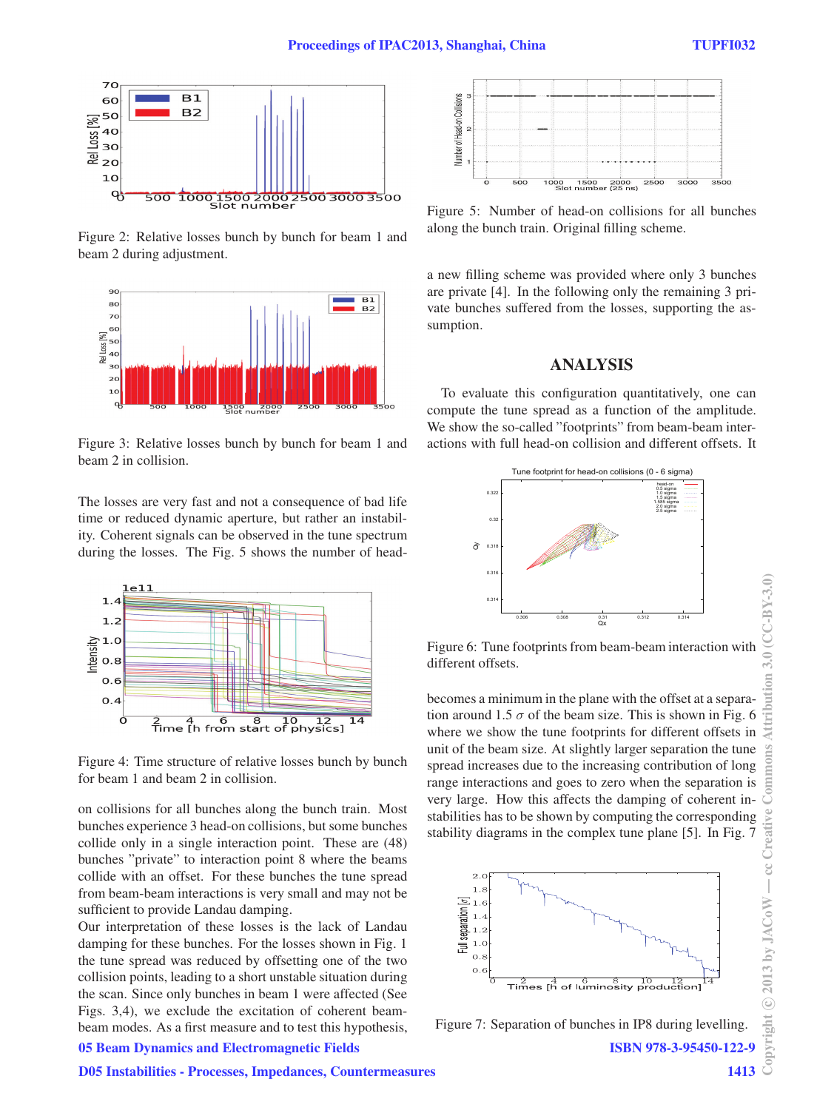

Figure 2: Relative losses bunch by bunch for beam 1 and beam 2 during adjustment.



Figure 3: Relative losses bunch by bunch for beam 1 and beam 2 in collision.

The losses are very fast and not a consequence of bad life time or reduced dynamic aperture, but rather an instability. Coherent signals can be observed in the tune spectrum during the losses. The Fig. 5 shows the number of head-



Figure 4: Time structure of relative losses bunch by bunch for beam 1 and beam 2 in collision.

on collisions for all bunches along the bunch train. Most bunches experience 3 head-on collisions, but some bunches collide only in a single interaction point. These are (48) bunches "private" to interaction point 8 where the beams collide with an offset. For these bunches the tune spread from beam-beam interactions is very small and may not be sufficient to provide Landau damping.

Our interpretation of these losses is the lack of Landau damping for these bunches. For the losses shown in Fig. 1 the tune spread was reduced by offsetting one of the two collision points, leading to a short unstable situation during the scan. Since only bunches in beam 1 were affected (See Figs. 3,4), we exclude the excitation of coherent beambeam modes. As a first measure and to test this hypothesis,



Figure 5: Number of head-on collisions for all bunches along the bunch train. Original filling scheme.

a new filling scheme was provided where only 3 bunches are private [4]. In the following only the remaining 3 private bunches suffered from the losses, supporting the assumption.

# ANALYSIS

To evaluate this configuration quantitatively, one can compute the tune spread as a function of the amplitude. We show the so-called "footprints" from beam-beam interactions with full head-on collision and different offsets. It



Figure 6: Tune footprints from beam-beam interaction with different offsets.

becomes a minimum in the plane with the offset at a separation around 1.5  $\sigma$  of the beam size. This is shown in Fig. 6 where we show the tune footprints for different offsets in unit of the beam size. At slightly larger separation the tune spread increases due to the increasing contribution of long range interactions and goes to zero when the separation is very large. How this affects the damping of coherent instabilities has to be shown by computing the corresponding stability diagrams in the complex tune plane [5]. In Fig. 7



Figure 7: Separation of bunches in IP8 during levelling.

# 05 Beam Dynamics and Electromagnetic Fields

ISBN 978-3-95450-122-9